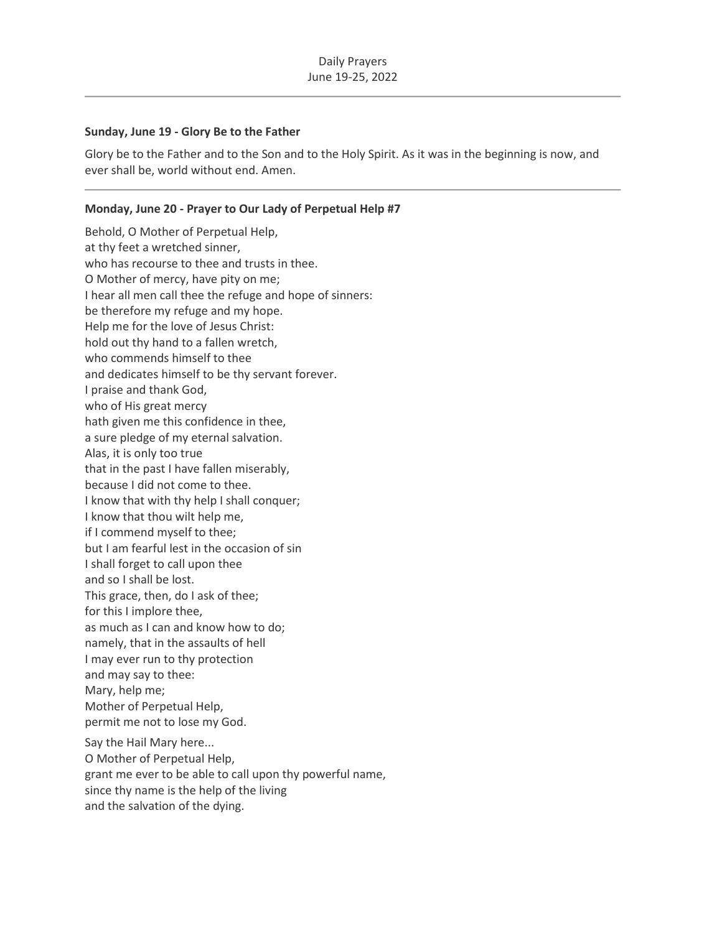### **Sunday, June 19 - Glory Be to the Father**

Glory be to the Father and to the Son and to the Holy Spirit. As it was in the beginning is now, and ever shall be, world without end. Amen.

# **Monday, June 20 - Prayer to Our Lady of Perpetual Help #7**

Behold, O Mother of Perpetual Help, at thy feet a wretched sinner, who has recourse to thee and trusts in thee. O Mother of mercy, have pity on me; I hear all men call thee the refuge and hope of sinners: be therefore my refuge and my hope. Help me for the love of Jesus Christ: hold out thy hand to a fallen wretch, who commends himself to thee and dedicates himself to be thy servant forever. I praise and thank God, who of His great mercy hath given me this confidence in thee, a sure pledge of my eternal salvation. Alas, it is only too true that in the past I have fallen miserably, because I did not come to thee. I know that with thy help I shall conquer; I know that thou wilt help me, if I commend myself to thee; but I am fearful lest in the occasion of sin I shall forget to call upon thee and so I shall be lost. This grace, then, do I ask of thee; for this I implore thee, as much as I can and know how to do; namely, that in the assaults of hell I may ever run to thy protection and may say to thee: Mary, help me; Mother of Perpetual Help, permit me not to lose my God. Say the Hail Mary here... O Mother of Perpetual Help, grant me ever to be able to call upon thy powerful name, since thy name is the help of the living and the salvation of the dying.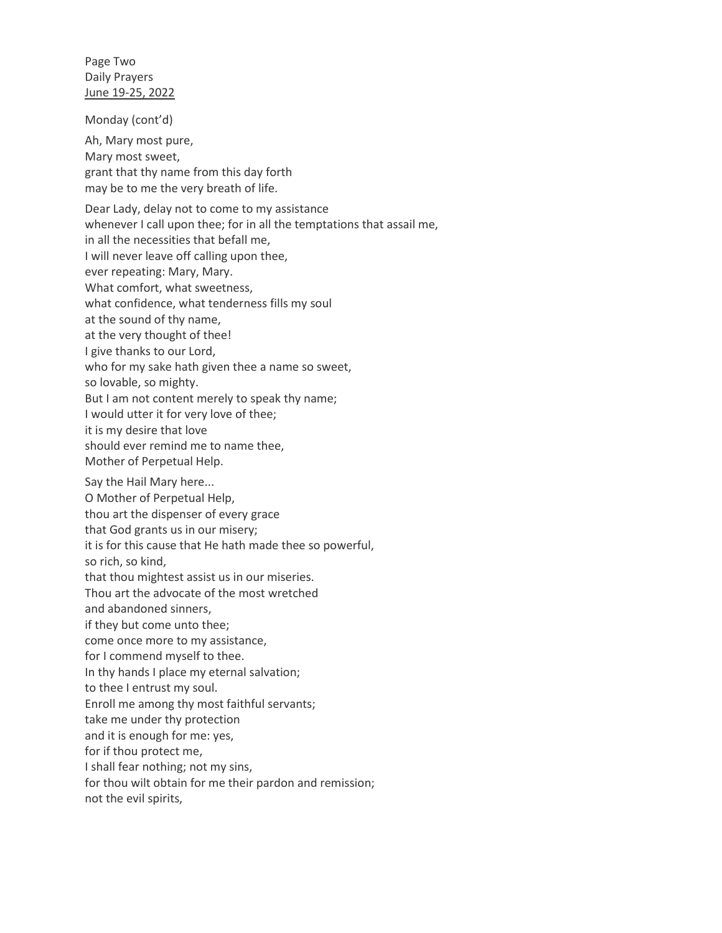Page Two Daily Prayers June 19-25, 2022

Monday (cont'd)

Ah, Mary most pure, Mary most sweet, grant that thy name from this day forth may be to me the very breath of life.

Dear Lady, delay not to come to my assistance whenever I call upon thee; for in all the temptations that assail me, in all the necessities that befall me, I will never leave off calling upon thee, ever repeating: Mary, Mary. What comfort, what sweetness, what confidence, what tenderness fills my soul at the sound of thy name, at the very thought of thee! I give thanks to our Lord, who for my sake hath given thee a name so sweet, so lovable, so mighty. But I am not content merely to speak thy name; I would utter it for very love of thee; it is my desire that love should ever remind me to name thee, Mother of Perpetual Help. Say the Hail Mary here... O Mother of Perpetual Help, thou art the dispenser of every grace that God grants us in our misery; it is for this cause that He hath made thee so powerful, so rich, so kind, that thou mightest assist us in our miseries. Thou art the advocate of the most wretched and abandoned sinners, if they but come unto thee; come once more to my assistance, for I commend myself to thee. In thy hands I place my eternal salvation; to thee I entrust my soul. Enroll me among thy most faithful servants; take me under thy protection and it is enough for me: yes, for if thou protect me, I shall fear nothing; not my sins, for thou wilt obtain for me their pardon and remission;

not the evil spirits,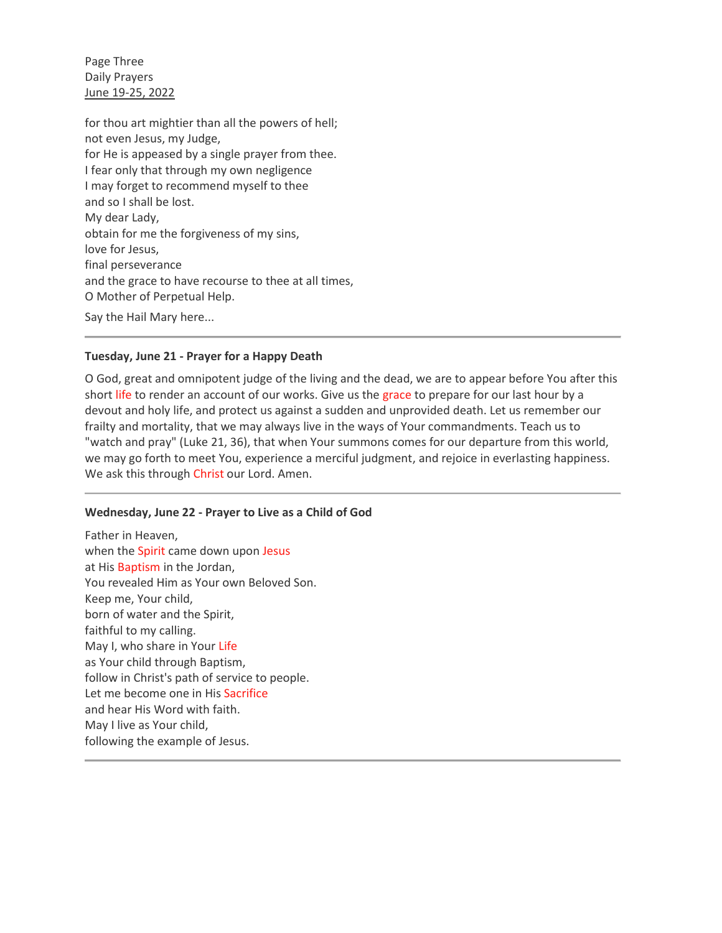Page Three Daily Prayers June 19-25, 2022

for thou art mightier than all the powers of hell; not even Jesus, my Judge, for He is appeased by a single prayer from thee. I fear only that through my own negligence I may forget to recommend myself to thee and so I shall be lost. My dear Lady, obtain for me the forgiveness of my sins, love for Jesus, final perseverance and the grace to have recourse to thee at all times, O Mother of Perpetual Help. Say the Hail Mary here...

## **Tuesday, June 21 - Prayer for a Happy Death**

O God, great and omnipotent judge of the living and the dead, we are to appear before You after this short [life](https://www.catholic.org/encyclopedia/view.php?id=7101) to render an account of our works. Give us the [grace](https://www.catholic.org/encyclopedia/view.php?id=5305) to prepare for our last hour by a devout and holy life, and protect us against a sudden and unprovided death. Let us remember our frailty and mortality, that we may always live in the ways of Your commandments. Teach us to "watch and pray" (Luke 21, 36), that when Your summons comes for our departure from this world, we may go forth to meet You, experience a merciful judgment, and rejoice in everlasting happiness. We ask this through [Christ](https://www.catholic.org/clife/jesus) our Lord. Amen.

### **Wednesday, June 22 - Prayer to Live as a Child of God**

Father in Heaven, when the [Spirit](https://www.catholic.org/encyclopedia/view.php?id=11004) came down upon [Jesus](https://www.catholic.org/clife/jesus) at His [Baptism](https://www.catholic.org/prayers/sacrament.php?id=1) in the Jordan, You revealed Him as Your own Beloved Son. Keep me, Your child, born of water and the Spirit, faithful to my calling. May I, who share in Your [Life](https://www.catholic.org/encyclopedia/view.php?id=7101) as Your child through Baptism, follow in Christ's path of service to people. Let me become one in His [Sacrifice](https://www.catholic.org/encyclopedia/view.php?id=10284) and hear His Word with faith. May I live as Your child, following the example of Jesus.